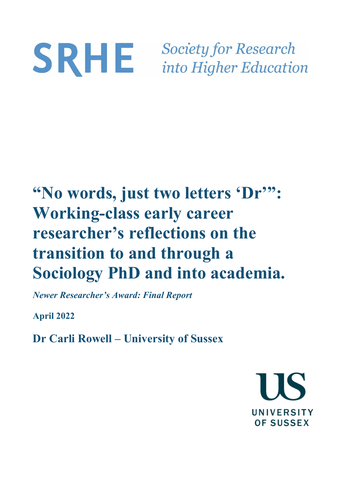# **Society for Research** SRHE into Higher Education

# **"No words, just two letters 'Dr'": Working-class early career researcher's reflections on the transition to and through a Sociology PhD and into academia.**

*Newer Researcher's Award: Final Report*

**April 2022**

**Dr Carli Rowell – University of Sussex** 

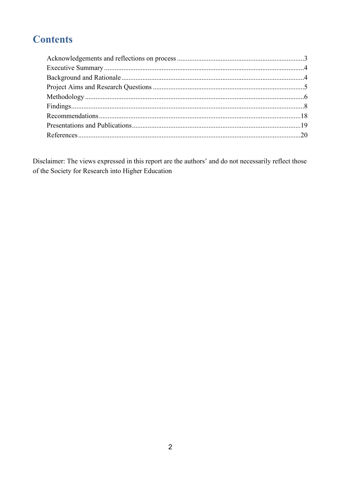# **Contents**

Disclaimer: The views expressed in this report are the authors' and do not necessarily reflect those of the Society for Research into Higher Education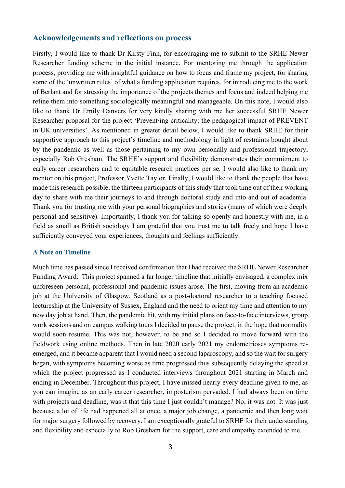# <span id="page-2-0"></span>**Acknowledgements and reflections on process**

Firstly, I would like to thank Dr Kirsty Finn, for encouraging me to submit to the SRHE Newer Researcher funding scheme in the initial instance. For mentoring me through the application process, providing me with insightful guidance on how to focus and frame my project, for sharing some of the 'unwritten rules' of what a funding application requires, for introducing me to the work of Berlant and for stressing the importance of the projects themes and focus and indeed helping me refine them into something sociologically meaningful and manageable. On this note, I would also like to thank Dr Emily Danvers for very kindly sharing with me her successful SRHE Newer Researcher proposal for the project 'Prevent/ing criticality: the pedagogical impact of PREVENT in UK universities'. As mentioned in greater detail below, I would like to thank SRHE for their supportive approach to this project's timeline and methodology in light of restraints bought about by the pandemic as well as those pertaining to my own personally and professional trajectory, especially Rob Gresham. The SRHE's support and flexibility demonstrates their commitment to early career researchers and to equitable research practices per se. I would also like to thank my mentor on this project, Professor Yvette Taylor. Finally, I would like to thank the people that have made this research possible, the thirteen participants of this study that took time out of their working day to share with me their journeys to and through doctoral study and into and out of academia. Thank you for trusting me with your personal biographies and stories (many of which were deeply personal and sensitive). Importantly, I thank you for talking so openly and honestly with me, in a field as small as British sociology I am grateful that you trust me to talk freely and hope I have sufficiently conveyed your experiences, thoughts and feelings sufficiently.

#### **A Note on Timeline**

Much time has passed since I received confirmation that I had received the SRHE Newer Researcher Funding Award. This project spanned a far longer timeline that initially envisaged, a complex mix unforeseen personal, professional and pandemic issues arose. The first, moving from an academic job at the University of Glasgow, Scotland as a post-doctoral researcher to a teaching focused lectureship at the University of Sussex, England and the need to orient my time and attention to my new day job at hand. Then, the pandemic hit, with my initial plans on face-to-face interviews, group work sessions and on campus walking tours I decided to pause the project, in the hope that normality would soon resume. This was not, however, to be and so I decided to move forward with the fieldwork using online methods. Then in late 2020 early 2021 my endometrioses symptoms reemerged, and it became apparent that I would need a second laparoscopy, and so the wait for surgery began, with symptoms becoming worse as time progressed thus subsequently delaying the speed at which the project progressed as I conducted interviews throughout 2021 starting in March and ending in December. Throughout this project, I have missed nearly every deadline given to me, as you can imagine as an early career researcher, imposterism pervaded. I had always been on time with projects and deadline, was it that this time I just couldn't manage? No, it was not. It was just because a lot of life had happened all at once, a major job change, a pandemic and then long wait for major surgery followed by recovery. I am exceptionally grateful to SRHE for their understanding and flexibility and especially to Rob Gresham for the support, care and empathy extended to me.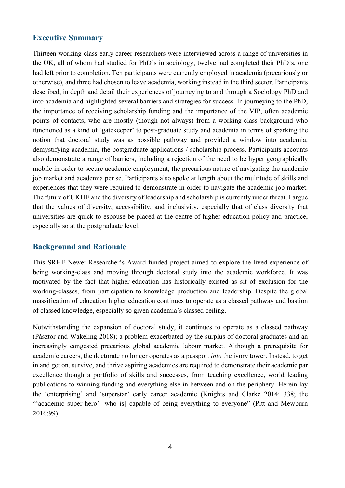# <span id="page-3-0"></span>**Executive Summary**

Thirteen working-class early career researchers were interviewed across a range of universities in the UK, all of whom had studied for PhD's in sociology, twelve had completed their PhD's, one had left prior to completion. Ten participants were currently employed in academia (precariously or otherwise), and three had chosen to leave academia, working instead in the third sector. Participants described, in depth and detail their experiences of journeying to and through a Sociology PhD and into academia and highlighted several barriers and strategies for success. In journeying to the PhD, the importance of receiving scholarship funding and the importance of the VIP, often academic points of contacts, who are mostly (though not always) from a working-class background who functioned as a kind of 'gatekeeper' to post-graduate study and academia in terms of sparking the notion that doctoral study was as possible pathway and provided a window into academia, demystifying academia, the postgraduate applications / scholarship process. Participants accounts also demonstrate a range of barriers, including a rejection of the need to be hyper geographically mobile in order to secure academic employment, the precarious nature of navigating the academic job market and academia per se. Participants also spoke at length about the multitude of skills and experiences that they were required to demonstrate in order to navigate the academic job market. The future of UKHE and the diversity of leadership and scholarship is currently under threat. I argue that the values of diversity, accessibility, and inclusivity, especially that of class diversity that universities are quick to espouse be placed at the centre of higher education policy and practice, especially so at the postgraduate level.

# <span id="page-3-1"></span>**Background and Rationale**

This SRHE Newer Researcher's Award funded project aimed to explore the lived experience of being working-class and moving through doctoral study into the academic workforce. It was motivated by the fact that higher-education has historically existed as sit of exclusion for the working-classes, from participation to knowledge production and leadership. Despite the global massification of education higher education continues to operate as a classed pathway and bastion of classed knowledge, especially so given academia's classed ceiling.

Notwithstanding the expansion of doctoral study, it continues to operate as a classed pathway (Pásztor and Wakeling 2018); a problem exacerbated by the surplus of doctoral graduates and an increasingly congested precarious global academic labour market. Although a prerequisite for academic careers, the doctorate no longer operates as a passport *into* the ivory tower. Instead, to get in and get on, survive, and thrive aspiring academics are required to demonstrate their academic par excellence though a portfolio of skills and successes, from teaching excellence, world leading publications to winning funding and everything else in between and on the periphery. Herein lay the 'enterprising' and 'superstar' early career academic (Knights and Clarke 2014: 338; the "academic super-hero' [who is] capable of being everything to everyone" (Pitt and Mewburn 2016:99).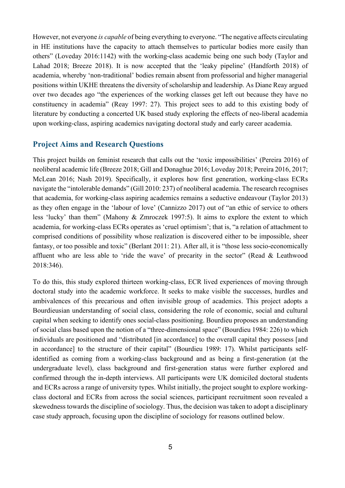However, not everyone *is capable* of being everything to everyone. "The negative affects circulating in HE institutions have the capacity to attach themselves to particular bodies more easily than others" (Loveday 2016:1142) with the working-class academic being one such body (Taylor and Lahad 2018; Breeze 2018). It is now accepted that the 'leaky pipeline' (Handforth 2018) of academia, whereby 'non-traditional' bodies remain absent from professorial and higher managerial positions within UKHE threatens the diversity of scholarship and leadership. As Diane Reay argued over two decades ago "the experiences of the working classes get left out because they have no constituency in academia" (Reay 1997: 27). This project sees to add to this existing body of literature by conducting a concerted UK based study exploring the effects of neo-liberal academia upon working-class, aspiring academics navigating doctoral study and early career academia.

#### <span id="page-4-0"></span>**Project Aims and Research Questions**

This project builds on feminist research that calls out the 'toxic impossibilities' (Pereira 2016) of neoliberal academic life (Breeze 2018; Gill and Donaghue 2016; Loveday 2018; Pereira 2016, 2017; McLean 2016; Nash 2019). Specifically, it explores how first generation, working-class ECRs navigate the "intolerable demands" (Gill 2010: 237) of neoliberal academia. The research recognises that academia, for working-class aspiring academics remains a seductive endeavour (Taylor 2013) as they often engage in the 'labour of love' (Cannizzo 2017) out of "an ethic of service to others less 'lucky' than them" (Mahony & Zmroczek 1997:5). It aims to explore the extent to which academia, for working-class ECRs operates as 'cruel optimism'; that is, "a relation of attachment to comprised conditions of possibility whose realization is discovered either to be impossible, sheer fantasy, or too possible and toxic" (Berlant 2011: 21). After all, it is "those less socio-economically affluent who are less able to 'ride the wave' of precarity in the sector" (Read & Leathwood 2018:346).

To do this, this study explored thirteen working-class, ECR lived experiences of moving through doctoral study into the academic workforce. It seeks to make visible the successes, hurdles and ambivalences of this precarious and often invisible group of academics. This project adopts a Bourdieusian understanding of social class, considering the role of economic, social and cultural capital when seeking to identify ones social-class positioning. Bourdieu proposes an understanding of social class based upon the notion of a "three-dimensional space" (Bourdieu 1984: 226) to which individuals are positioned and "distributed [in accordance] to the overall capital they possess [and in accordance] to the structure of their capital" (Bourdieu 1989: 17). Whilst participants selfidentified as coming from a working-class background and as being a first-generation (at the undergraduate level), class background and first-generation status were further explored and confirmed through the in-depth interviews. All participants were UK domiciled doctoral students and ECRs across a range of university types. Whilst initially, the project sought to explore workingclass doctoral and ECRs from across the social sciences, participant recruitment soon revealed a skewedness towards the discipline of sociology. Thus, the decision was taken to adopt a disciplinary case study approach, focusing upon the discipline of sociology for reasons outlined below.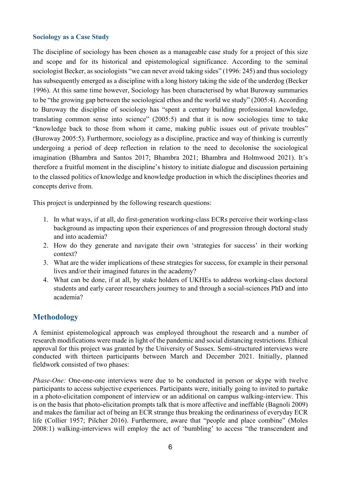#### **Sociology as a Case Study**

The discipline of sociology has been chosen as a manageable case study for a project of this size and scope and for its historical and epistemological significance. According to the seminal sociologist Becker, as sociologists "we can never avoid taking sides" (1996: 245) and thus sociology has subsequently emerged as a discipline with a long history taking the side of the underdog (Becker 1996). At this same time however, Sociology has been characterised by what Buroway summaries to be "the growing gap between the sociological ethos and the world we study" (2005:4). According to Buroway the discipline of sociology has "spent a century building professional knowledge, translating common sense into science" (2005:5) and that it is now sociologies time to take "knowledge back to those from whom it came, making public issues out of private troubles" (Buroway 2005:5). Furthermore, sociology as a discipline, practice and way of thinking is currently undergoing a period of deep reflection in relation to the need to decolonise the sociological imagination (Bhambra and Santos 2017; Bhambra 2021; Bhambra and Holmwood 2021). It's therefore a fruitful moment in the discipline's history to initiate dialogue and discussion pertaining to the classed politics of knowledge and knowledge production in which the disciplines theories and concepts derive from.

This project is underpinned by the following research questions:

- 1. In what ways, if at all, do first-generation working-class ECRs perceive their working-class background as impacting upon their experiences of and progression through doctoral study and into academia?
- 2. How do they generate and navigate their own 'strategies for success' in their working context?
- 3. What are the wider implications of these strategies for success, for example in their personal lives and/or their imagined futures in the academy?
- 4. What can be done, if at all, by stake holders of UKHEs to address working-class doctoral students and early career researchers journey to and through a social-sciences PhD and into academia?

# <span id="page-5-0"></span>**Methodology**

A feminist epistemological approach was employed throughout the research and a number of research modifications were made in light of the pandemic and social distancing restrictions. Ethical approval for this project was granted by the University of Sussex. Semi-structured interviews were conducted with thirteen participants between March and December 2021. Initially, planned fieldwork consisted of two phases:

*Phase-One:* One-one-one interviews were due to be conducted in person or skype with twelve participants to access subjective experiences. Participants were, initially going to invited to partake in a photo-elicitation component of interview or an additional on campus walking-interview. This is on the basis that photo-elicitation prompts talk that is more affective and ineffable (Bagnoli 2009) and makes the familiar act of being an ECR strange thus breaking the ordinariness of everyday ECR life (Collier 1957; Pilcher 2016). Furthermore, aware that "people and place combine" (Moles 2008:1) walking-interviews will employ the act of 'bumbling' to access "the transcendent and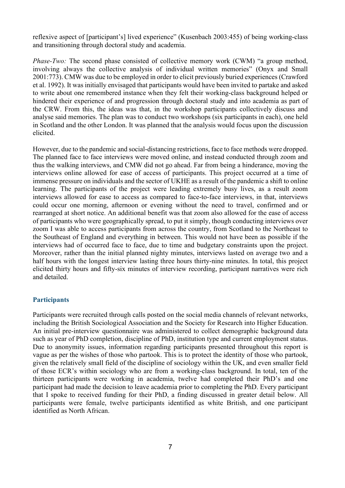reflexive aspect of [participant's] lived experience" (Kusenbach 2003:455) of being working-class and transitioning through doctoral study and academia.

*Phase-Two:* The second phase consisted of collective memory work (CWM) "a group method, involving always the collective analysis of individual written memories" (Onyx and Small 2001:773). CMW was due to be employed in order to elicit previously buried experiences (Crawford et al. 1992). It was initially envisaged that participants would have been invited to partake and asked to write about one remembered instance when they felt their working-class background helped or hindered their experience of and progression through doctoral study and into academia as part of the CRW. From this, the ideas was that, in the workshop participants collectively discuss and analyse said memories. The plan was to conduct two workshops (six participants in each), one held in Scotland and the other London. It was planned that the analysis would focus upon the discussion elicited.

However, due to the pandemic and social-distancing restrictions, face to face methods were dropped. The planned face to face interviews were moved online, and instead conducted through zoom and thus the walking interviews, and CMW did not go ahead. Far from being a hinderance, moving the interviews online allowed for ease of access of participants. This project occurred at a time of immense pressure on individuals and the sector of UKHE as a result of the pandemic a shift to online learning. The participants of the project were leading extremely busy lives, as a result zoom interviews allowed for ease to access as compared to face-to-face interviews, in that, interviews could occur one morning, afternoon or evening without the need to travel, confirmed and or rearranged at short notice. An additional benefit was that zoom also allowed for the ease of access of participants who were geographically spread, to put it simply, though conducting interviews over zoom I was able to access participants from across the country, from Scotland to the Northeast to the Southeast of England and everything in between. This would not have been as possible if the interviews had of occurred face to face, due to time and budgetary constraints upon the project. Moreover, rather than the initial planned nighty minutes, interviews lasted on average two and a half hours with the longest interview lasting three hours thirty-nine minutes. In total, this project elicited thirty hours and fifty-six minutes of interview recording, participant narratives were rich and detailed.

#### **Participants**

Participants were recruited through calls posted on the social media channels of relevant networks, including the British Sociological Association and the Society for Research into Higher Education. An initial pre-interview questionnaire was administered to collect demographic background data such as year of PhD completion, discipline of PhD, institution type and current employment status. Due to anonymity issues, information regarding participants presented throughout this report is vague as per the wishes of those who partook. This is to protect the identity of those who partook, given the relatively small field of the discipline of sociology within the UK, and even smaller field of those ECR's within sociology who are from a working-class background. In total, ten of the thirteen participants were working in academia, twelve had completed their PhD's and one participant had made the decision to leave academia prior to completing the PhD. Every participant that I spoke to received funding for their PhD, a finding discussed in greater detail below. All participants were female, twelve participants identified as white British, and one participant identified as North African.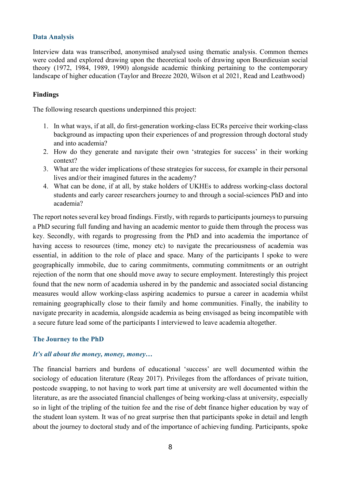#### **Data Analysis**

Interview data was transcribed, anonymised analysed using thematic analysis. Common themes were coded and explored drawing upon the theoretical tools of drawing upon Bourdieusian social theory (1972, 1984, 1989, 1990) alongside academic thinking pertaining to the contemporary landscape of higher education (Taylor and Breeze 2020, Wilson et al 2021, Read and Leathwood)

## <span id="page-7-0"></span>**Findings**

The following research questions underpinned this project:

- 1. In what ways, if at all, do first-generation working-class ECRs perceive their working-class background as impacting upon their experiences of and progression through doctoral study and into academia?
- 2. How do they generate and navigate their own 'strategies for success' in their working context?
- 3. What are the wider implications of these strategies for success, for example in their personal lives and/or their imagined futures in the academy?
- 4. What can be done, if at all, by stake holders of UKHEs to address working-class doctoral students and early career researchers journey to and through a social-sciences PhD and into academia?

The report notes several key broad findings. Firstly, with regards to participants journeys to pursuing a PhD securing full funding and having an academic mentor to guide them through the process was key. Secondly, with regards to progressing from the PhD and into academia the importance of having access to resources (time, money etc) to navigate the precariousness of academia was essential, in addition to the role of place and space. Many of the participants I spoke to were geographically immobile, due to caring commitments, commuting commitments or an outright rejection of the norm that one should move away to secure employment. Interestingly this project found that the new norm of academia ushered in by the pandemic and associated social distancing measures would allow working-class aspiring academics to pursue a career in academia whilst remaining geographically close to their family and home communities. Finally, the inability to navigate precarity in academia, alongside academia as being envisaged as being incompatible with a secure future lead some of the participants I interviewed to leave academia altogether.

#### **The Journey to the PhD**

# *It's all about the money, money, money…*

The financial barriers and burdens of educational 'success' are well documented within the sociology of education literature (Reay 2017). Privileges from the affordances of private tuition, postcode swapping, to not having to work part time at university are well documented within the literature, as are the associated financial challenges of being working-class at university, especially so in light of the tripling of the tuition fee and the rise of debt finance higher education by way of the student loan system. It was of no great surprise then that participants spoke in detail and length about the journey to doctoral study and of the importance of achieving funding. Participants, spoke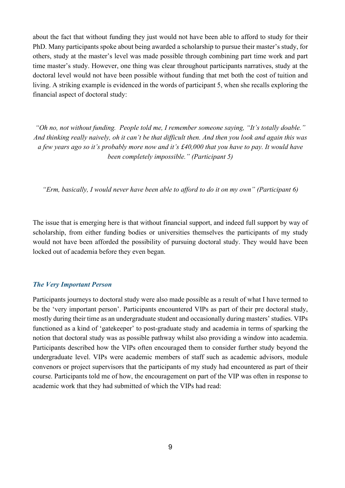about the fact that without funding they just would not have been able to afford to study for their PhD. Many participants spoke about being awarded a scholarship to pursue their master's study, for others, study at the master's level was made possible through combining part time work and part time master's study. However, one thing was clear throughout participants narratives, study at the doctoral level would not have been possible without funding that met both the cost of tuition and living. A striking example is evidenced in the words of participant 5, when she recalls exploring the financial aspect of doctoral study:

*"Oh no, not without funding. People told me, I remember someone saying, "It's totally doable." And thinking really naively, oh it can't be that difficult then. And then you look and again this was a few years ago so it's probably more now and it's £40,000 that you have to pay. It would have been completely impossible." (Participant 5)*

*"Erm, basically, I would never have been able to afford to do it on my own" (Participant 6)*

The issue that is emerging here is that without financial support, and indeed full support by way of scholarship, from either funding bodies or universities themselves the participants of my study would not have been afforded the possibility of pursuing doctoral study. They would have been locked out of academia before they even began.

#### *The Very Important Person*

Participants journeys to doctoral study were also made possible as a result of what I have termed to be the 'very important person'. Participants encountered VIPs as part of their pre doctoral study, mostly during their time as an undergraduate student and occasionally during masters' studies. VIPs functioned as a kind of 'gatekeeper' to post-graduate study and academia in terms of sparking the notion that doctoral study was as possible pathway whilst also providing a window into academia. Participants described how the VIPs often encouraged them to consider further study beyond the undergraduate level. VIPs were academic members of staff such as academic advisors, module convenors or project supervisors that the participants of my study had encountered as part of their course. Participants told me of how, the encouragement on part of the VIP was often in response to academic work that they had submitted of which the VIPs had read: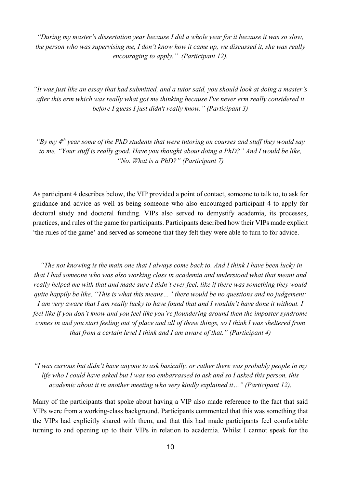*"During my master's dissertation year because I did a whole year for it because it was so slow, the person who was supervising me, I don't know how it came up, we discussed it, she was really encouraging to apply." (Participant 12).*

*"It was just like an essay that had submitted, and a tutor said, you should look at doing a master's after this erm which was really what got me thinking because I've never erm really considered it before I guess I just didn't really know." (Participant 3)*

*"By my 4th year some of the PhD students that were tutoring on courses and stuff they would say to me, "Your stuff is really good. Have you thought about doing a PhD?" And I would be like, "No. What is a PhD?" (Participant 7)*

As participant 4 describes below, the VIP provided a point of contact, someone to talk to, to ask for guidance and advice as well as being someone who also encouraged participant 4 to apply for doctoral study and doctoral funding. VIPs also served to demystify academia, its processes, practices, and rules of the game for participants. Participants described how their VIPs made explicit 'the rules of the game' and served as someone that they felt they were able to turn to for advice.

*"The not knowing is the main one that I always come back to. And I think I have been lucky in that I had someone who was also working class in academia and understood what that meant and really helped me with that and made sure I didn't ever feel, like if there was something they would quite happily be like, "This is what this means…" there would be no questions and no judgement; I am very aware that I am really lucky to have found that and I wouldn't have done it without. I feel like if you don't know and you feel like you're floundering around then the imposter syndrome comes in and you start feeling out of place and all of those things, so I think I was sheltered from that from a certain level I think and I am aware of that." (Participant 4)*

*"I was curious but didn't have anyone to ask basically, or rather there was probably people in my life who I could have asked but I was too embarrassed to ask and so I asked this person, this academic about it in another meeting who very kindly explained it…" (Participant 12).* 

Many of the participants that spoke about having a VIP also made reference to the fact that said VIPs were from a working-class background. Participants commented that this was something that the VIPs had explicitly shared with them, and that this had made participants feel comfortable turning to and opening up to their VIPs in relation to academia. Whilst I cannot speak for the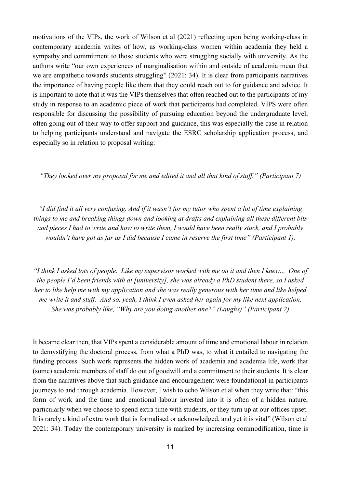motivations of the VIPs, the work of Wilson et al (2021) reflecting upon being working-class in contemporary academia writes of how, as working-class women within academia they held a sympathy and commitment to those students who were struggling socially with university. As the authors write "our own experiences of marginalisation within and outside of academia mean that we are empathetic towards students struggling" (2021: 34). It is clear from participants narratives the importance of having people like them that they could reach out to for guidance and advice. It is important to note that it was the VIPs themselves that often reached out to the participants of my study in response to an academic piece of work that participants had completed. VIPS were often responsible for discussing the possibility of pursuing education beyond the undergraduate level, often going out of their way to offer support and guidance, this was especially the case in relation to helping participants understand and navigate the ESRC scholarship application process, and especially so in relation to proposal writing:

*"They looked over my proposal for me and edited it and all that kind of stuff." (Participant 7)*

*"I did find it all very confusing. And if it wasn't for my tutor who spent a lot of time explaining things to me and breaking things down and looking at drafts and explaining all these different bits and pieces I had to write and how to write them, I would have been really stuck, and I probably wouldn't have got as far as I did because I came in reserve the first time" (Participant 1).*

*"I think I asked lots of people. Like my supervisor worked with me on it and then I knew... One of the people I'd been friends with at [university], she was already a PhD student there, so I asked her to like help me with my application and she was really generous with her time and like helped me write it and stuff. And so, yeah, I think I even asked her again for my like next application. She was probably like, "Why are you doing another one?" (Laughs)" (Participant 2)*

It became clear then, that VIPs spent a considerable amount of time and emotional labour in relation to demystifying the doctoral process, from what a PhD was, to what it entailed to navigating the funding process. Such work represents the hidden work of academia and academia life, work that (some) academic members of staff do out of goodwill and a commitment to their students. It is clear from the narratives above that such guidance and encouragement were foundational in participants journeys to and through academia. However, I wish to echo Wilson et al when they write that: "this form of work and the time and emotional labour invested into it is often of a hidden nature, particularly when we choose to spend extra time with students, or they turn up at our offices upset. It is rarely a kind of extra work that is formalised or acknowledged, and yet it is vital" (Wilson et al 2021: 34). Today the contemporary university is marked by increasing commodification, time is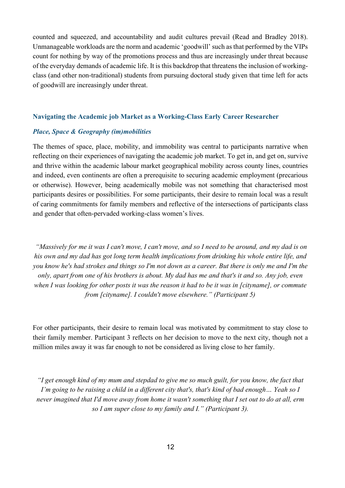counted and squeezed, and accountability and audit cultures prevail (Read and Bradley 2018). Unmanageable workloads are the norm and academic 'goodwill' such as that performed by the VIPs count for nothing by way of the promotions process and thus are increasingly under threat because of the everyday demands of academic life. It is this backdrop that threatens the inclusion of workingclass (and other non-traditional) students from pursuing doctoral study given that time left for acts of goodwill are increasingly under threat.

#### **Navigating the Academic job Market as a Working-Class Early Career Researcher**

#### *Place, Space & Geography (im)mobilities*

The themes of space, place, mobility, and immobility was central to participants narrative when reflecting on their experiences of navigating the academic job market. To get in, and get on, survive and thrive within the academic labour market geographical mobility across county lines, countries and indeed, even continents are often a prerequisite to securing academic employment (precarious or otherwise). However, being academically mobile was not something that characterised most participants desires or possibilities. For some participants, their desire to remain local was a result of caring commitments for family members and reflective of the intersections of participants class and gender that often-pervaded working-class women's lives.

*"Massively for me it was I can't move, I can't move, and so I need to be around, and my dad is on his own and my dad has got long term health implications from drinking his whole entire life, and you know he's had strokes and things so I'm not down as a career. But there is only me and I'm the only, apart from one of his brothers is about. My dad has me and that's it and so. Any job, even when I was looking for other posts it was the reason it had to be it was in [cityname], or commute from [cityname]. I couldn't move elsewhere." (Participant 5)*

For other participants, their desire to remain local was motivated by commitment to stay close to their family member. Participant 3 reflects on her decision to move to the next city, though not a million miles away it was far enough to not be considered as living close to her family.

*"I get enough kind of my mum and stepdad to give me so much guilt, for you know, the fact that I'm going to be raising a child in a different city that's, that's kind of bad enough… Yeah so I never imagined that I'd move away from home it wasn't something that I set out to do at all, erm so I am super close to my family and I." (Participant 3).*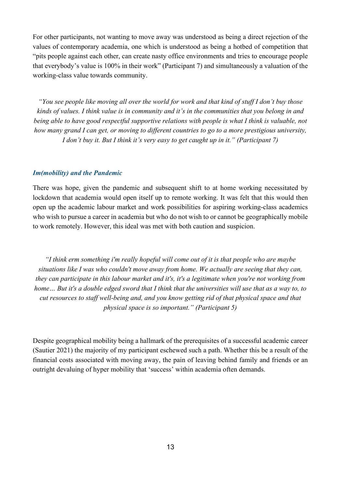For other participants, not wanting to move away was understood as being a direct rejection of the values of contemporary academia, one which is understood as being a hotbed of competition that "pits people against each other, can create nasty office environments and tries to encourage people that everybody's value is 100% in their work" (Participant 7) and simultaneously a valuation of the working-class value towards community.

*"You see people like moving all over the world for work and that kind of stuff I don't buy those kinds of values. I think value is in community and it's in the communities that you belong in and being able to have good respectful supportive relations with people is what I think is valuable, not how many grand I can get, or moving to different countries to go to a more prestigious university, I don't buy it. But I think it's very easy to get caught up in it." (Participant 7)*

#### *Im(mobility) and the Pandemic*

There was hope, given the pandemic and subsequent shift to at home working necessitated by lockdown that academia would open itself up to remote working. It was felt that this would then open up the academic labour market and work possibilities for aspiring working-class academics who wish to pursue a career in academia but who do not wish to or cannot be geographically mobile to work remotely. However, this ideal was met with both caution and suspicion.

*"I think erm something i'm really hopeful will come out of it is that people who are maybe situations like I was who couldn't move away from home. We actually are seeing that they can, they can participate in this labour market and it's, it's a legitimate when you're not working from*  home... But it's a double edged sword that I think that the universities will use that as a way to, to *cut resources to staff well-being and, and you know getting rid of that physical space and that physical space is so important." (Participant 5)*

Despite geographical mobility being a hallmark of the prerequisites of a successful academic career (Sautier 2021) the majority of my participant eschewed such a path. Whether this be a result of the financial costs associated with moving away, the pain of leaving behind family and friends or an outright devaluing of hyper mobility that 'success' within academia often demands.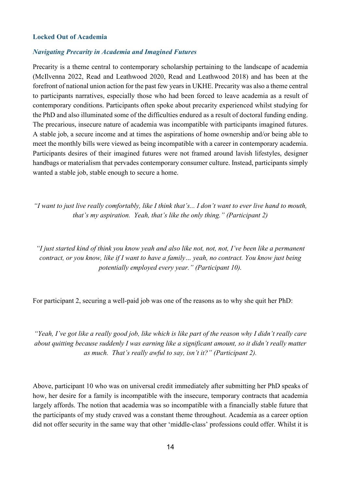#### **Locked Out of Academia**

#### *Navigating Precarity in Academia and Imagined Futures*

Precarity is a theme central to contemporary scholarship pertaining to the landscape of academia (McIlvenna 2022, Read and Leathwood 2020, Read and Leathwood 2018) and has been at the forefront of national union action for the past few years in UKHE. Precarity was also a theme central to participants narratives, especially those who had been forced to leave academia as a result of contemporary conditions. Participants often spoke about precarity experienced whilst studying for the PhD and also illuminated some of the difficulties endured as a result of doctoral funding ending. The precarious, insecure nature of academia was incompatible with participants imagined futures. A stable job, a secure income and at times the aspirations of home ownership and/or being able to meet the monthly bills were viewed as being incompatible with a career in contemporary academia. Participants desires of their imagined futures were not framed around lavish lifestyles, designer handbags or materialism that pervades contemporary consumer culture. Instead, participants simply wanted a stable job, stable enough to secure a home.

*"I want to just live really comfortably, like I think that's... I don't want to ever live hand to mouth, that's my aspiration. Yeah, that's like the only thing." (Participant 2)* 

*"I just started kind of think you know yeah and also like not, not, not, I've been like a permanent contract, or you know, like if I want to have a family… yeah, no contract. You know just being potentially employed every year." (Participant 10).*

For participant 2, securing a well-paid job was one of the reasons as to why she quit her PhD:

*"Yeah, I've got like a really good job, like which is like part of the reason why I didn't really care about quitting because suddenly I was earning like a significant amount, so it didn't really matter as much. That's really awful to say, isn't it?" (Participant 2).* 

Above, participant 10 who was on universal credit immediately after submitting her PhD speaks of how, her desire for a family is incompatible with the insecure, temporary contracts that academia largely affords. The notion that academia was so incompatible with a financially stable future that the participants of my study craved was a constant theme throughout. Academia as a career option did not offer security in the same way that other 'middle-class' professions could offer. Whilst it is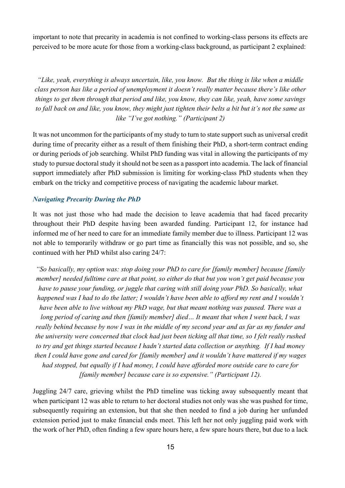important to note that precarity in academia is not confined to working-class persons its effects are perceived to be more acute for those from a working-class background, as participant 2 explained:

*"Like, yeah, everything is always uncertain, like, you know. But the thing is like when a middle class person has like a period of unemployment it doesn't really matter because there's like other things to get them through that period and like, you know, they can like, yeah, have some savings to fall back on and like, you know, they might just tighten their belts a bit but it's not the same as like "I've got nothing." (Participant 2)*

It was not uncommon for the participants of my study to turn to state support such as universal credit during time of precarity either as a result of them finishing their PhD, a short-term contract ending or during periods of job searching. Whilst PhD funding was vital in allowing the participants of my study to pursue doctoral study it should not be seen as a passport into academia. The lack of financial support immediately after PhD submission is limiting for working-class PhD students when they embark on the tricky and competitive process of navigating the academic labour market.

#### *Navigating Precarity During the PhD*

It was not just those who had made the decision to leave academia that had faced precarity throughout their PhD despite having been awarded funding. Participant 12, for instance had informed me of her need to care for an immediate family member due to illness. Participant 12 was not able to temporarily withdraw or go part time as financially this was not possible, and so, she continued with her PhD whilst also caring 24/7:

*"So basically, my option was: stop doing your PhD to care for [family member] because [family member] needed fulltime care at that point, so either do that but you won't get paid because you have to pause your funding, or juggle that caring with still doing your PhD. So basically, what happened was I had to do the latter; I wouldn't have been able to afford my rent and I wouldn't have been able to live without my PhD wage, but that meant nothing was paused. There was a long period of caring and then [family member] died… It meant that when I went back, I was really behind because by now I was in the middle of my second year and as far as my funder and the university were concerned that clock had just been ticking all that time, so I felt really rushed to try and get things started because I hadn't started data collection or anything. If I had money then I could have gone and cared for [family member] and it wouldn't have mattered if my wages had stopped, but equally if I had money, I could have afforded more outside care to care for [family member] because care is so expensive." (Participant 12).* 

Juggling 24/7 care, grieving whilst the PhD timeline was ticking away subsequently meant that when participant 12 was able to return to her doctoral studies not only was she was pushed for time, subsequently requiring an extension, but that she then needed to find a job during her unfunded extension period just to make financial ends meet. This left her not only juggling paid work with the work of her PhD, often finding a few spare hours here, a few spare hours there, but due to a lack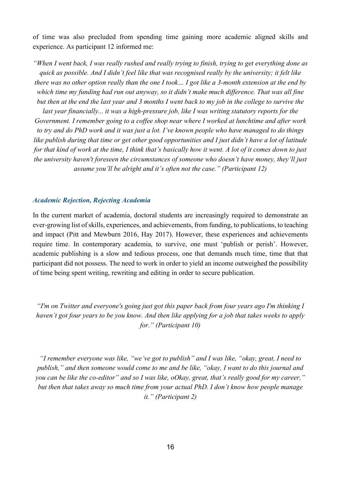of time was also precluded from spending time gaining more academic aligned skills and experience. As participant 12 informed me:

*"When I went back, I was really rushed and really trying to finish, trying to get everything done as quick as possible. And I didn't feel like that was recognised really by the university; it felt like there was no other option really than the one I took… I got like a 3-month extension at the end by which time my funding had run out anyway, so it didn't make much difference. That was all fine but then at the end the last year and 3 months I went back to my job in the college to survive the last year financially... it was a high-pressure job, like I was writing statutory reports for the Government. I remember going to a coffee shop near where I worked at lunchtime and after work to try and do PhD work and it was just a lot. I've known people who have managed to do things like publish during that time or get other good opportunities and I just didn't have a lot of latitude for that kind of work at the time, I think that's basically how it went. A lot of it comes down to just the university haven't foreseen the circumstances of someone who doesn't have money, they'll just assume you'll be alright and it's often not the case." (Participant 12)*

#### *Academic Rejection, Rejecting Academia*

In the current market of academia, doctoral students are increasingly required to demonstrate an ever-growing list of skills, experiences, and achievements, from funding, to publications, to teaching and impact (Pitt and Mewburn 2016, Hay 2017). However, these experiences and achievements require time. In contemporary academia, to survive, one must 'publish or perish'. However, academic publishing is a slow and tedious process, one that demands much time, time that that participant did not possess. The need to work in order to yield an income outweighed the possibility of time being spent writing, rewriting and editing in order to secure publication.

*"I'm on Twitter and everyone's going just got this paper back from four years ago I'm thinking I haven't got four years to be you know. And then like applying for a job that takes weeks to apply for." (Participant 10)*

*"I remember everyone was like, "we've got to publish" and I was like, "okay, great, I need to publish," and then someone would come to me and be like, "okay, I want to do this journal and you can be like the co-editor" and so I was like, oOkay, great, that's really good for my career," but then that takes away so much time from your actual PhD. I don't know how people manage it." (Participant 2)*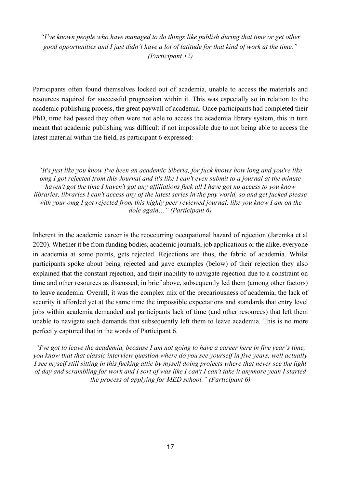*"I've known people who have managed to do things like publish during that time or get other good opportunities and I just didn't have a lot of latitude for that kind of work at the time." (Participant 12)*

Participants often found themselves locked out of academia, unable to access the materials and resources required for successful progression within it. This was especially so in relation to the academic publishing process, the great paywall of academia. Once participants had completed their PhD, time had passed they often were not able to access the academia library system, this in turn meant that academic publishing was difficult if not impossible due to not being able to access the latest material within the field, as participant 6 expressed:

*"It's just like you know I've been an academic Siberia, for fuck knows how long and you're like omg I got rejected from this Journal and it's like I can't even submit to a journal at the minute haven't got the time I haven't got any affiliations fuck all I have got no access to you know libraries, libraries I can't access any of the latest series in the pay world, so and get fucked please with your omg I got rejected from this highly peer reviewed journal, like you know I am on the dole again…" (Participant 6)*

Inherent in the academic career is the reoccurring occupational hazard of rejection (Jaremka et al 2020). Whether it be from funding bodies, academic journals, job applications or the alike, everyone in academia at some points, gets rejected. Rejections are thus, the fabric of academia. Whilst participants spoke about being rejected and gave examples (below) of their rejection they also explained that the constant rejection, and their inability to navigate rejection due to a constraint on time and other resources as discussed, in brief above, subsequently led them (among other factors) to leave academia. Overall, it was the complex mix of the precariousness of academia, the lack of security it afforded yet at the same time the impossible expectations and standards that entry level jobs within academia demanded and participants lack of time (and other resources) that left them unable to navigate such demands that subsequently left them to leave academia. This is no more perfectly captured that in the words of Participant 6.

*"I've got to leave the academia, because I am not going to have a career here in five year's time, you know that that classic interview question where do you see yourself in five years, well actually I see myself still sitting in this fucking attic by myself doing projects where that never see the light of day and scrambling for work and I sort of was like I can't I can't take it anymore yeah I started the process of applying for MED school." (Participant 6)*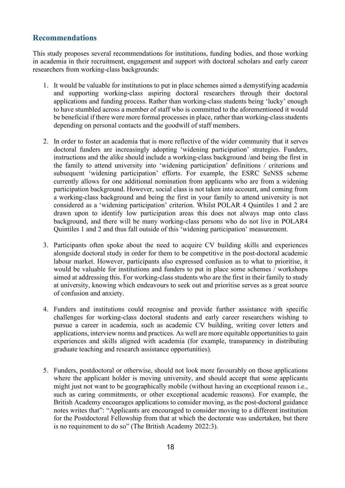# <span id="page-17-0"></span>**Recommendations**

This study proposes several recommendations for institutions, funding bodies, and those working in academia in their recruitment, engagement and support with doctoral scholars and early career researchers from working-class backgrounds:

- 1. It would be valuable for institutions to put in place schemes aimed a demystifying academia and supporting working-class aspiring doctoral researchers through their doctoral applications and funding process. Rather than working-class students being 'lucky' enough to have stumbled across a member of staff who is committed to the aforementioned it would be beneficial if there were more formal processes in place, rather than working-class students depending on personal contacts and the goodwill of staff members.
- 2. In order to foster an academia that is more reflective of the wider community that it serves doctoral funders are increasingly adopting 'widening participation' strategies. Funders, instructions and the alike should include a working-class background /and being the first in the family to attend university into 'widening participation' definitions / criterions and subsequent 'widening participation' efforts. For example, the ESRC SeNSS scheme currently allows for one additional nomination from applicants who are from a widening participation background. However, social class is not taken into account, and coming from a working-class background and being the first in your family to attend university is not considered as a 'widening participation' criterion. Whilst POLAR 4 Quintiles 1 and 2 are drawn upon to identify low participation areas this does not always map onto class background, and there will be many working-class persons who do not live in POLAR4 Quintiles 1 and 2 and thus fall outside of this 'widening participation' measurement.
- 3. Participants often spoke about the need to acquire CV building skills and experiences alongside doctoral study in order for them to be competitive in the post-doctoral academic labour market. However, participants also expressed confusion as to what to prioritise, it would be valuable for institutions and funders to put in place some schemes / workshops aimed at addressing this. For working-class students who are the first in their family to study at university, knowing which endeavours to seek out and prioritise serves as a great source of confusion and anxiety.
- 4. Funders and institutions could recognise and provide further assistance with specific challenges for working-class doctoral students and early career researchers wishing to pursue a career in academia, such as academic CV building, writing cover letters and applications, interview norms and practices. As well are more equitable opportunities to gain experiences and skills aligned with academia (for example, transparency in distributing graduate teaching and research assistance opportunities).
- 5. Funders, postdoctoral or otherwise, should not look more favourably on those applications where the applicant holder is moving university, and should accept that some applicants might just not want to be geographically mobile (without having an exceptional reason i.e., such as caring commitments, or other exceptional academic reasons). For example, the British Academy encourages applications to consider moving, as the post-doctoral guidance notes writes that": "Applicants are encouraged to consider moving to a different institution for the Postdoctoral Fellowship from that at which the doctorate was undertaken, but there is no requirement to do so" (The British Academy 2022:3).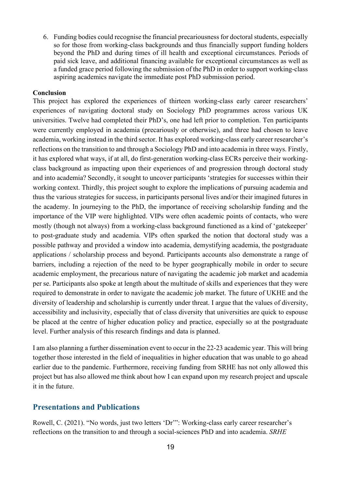6. Funding bodies could recognise the financial precariousness for doctoral students, especially so for those from working-class backgrounds and thus financially support funding holders beyond the PhD and during times of ill health and exceptional circumstances. Periods of paid sick leave, and additional financing available for exceptional circumstances as well as a funded grace period following the submission of the PhD in order to support working-class aspiring academics navigate the immediate post PhD submission period.

#### **Conclusion**

This project has explored the experiences of thirteen working-class early career researchers' experiences of navigating doctoral study on Sociology PhD programmes across various UK universities. Twelve had completed their PhD's, one had left prior to completion. Ten participants were currently employed in academia (precariously or otherwise), and three had chosen to leave academia, working instead in the third sector. It has explored working-class early career researcher's reflections on the transition to and through a Sociology PhD and into academia in three ways. Firstly, it has explored what ways, if at all, do first-generation working-class ECRs perceive their workingclass background as impacting upon their experiences of and progression through doctoral study and into academia? Secondly, it sought to uncover participants 'strategies for successes within their working context. Thirdly, this project sought to explore the implications of pursuing academia and thus the various strategies for success, in participants personal lives and/or their imagined futures in the academy. In journeying to the PhD, the importance of receiving scholarship funding and the importance of the VIP were highlighted. VIPs were often academic points of contacts, who were mostly (though not always) from a working-class background functioned as a kind of 'gatekeeper' to post-graduate study and academia. VIPs often sparked the notion that doctoral study was a possible pathway and provided a window into academia, demystifying academia, the postgraduate applications / scholarship process and beyond. Participants accounts also demonstrate a range of barriers, including a rejection of the need to be hyper geographically mobile in order to secure academic employment, the precarious nature of navigating the academic job market and academia per se. Participants also spoke at length about the multitude of skills and experiences that they were required to demonstrate in order to navigate the academic job market. The future of UKHE and the diversity of leadership and scholarship is currently under threat. I argue that the values of diversity, accessibility and inclusivity, especially that of class diversity that universities are quick to espouse be placed at the centre of higher education policy and practice, especially so at the postgraduate level. Further analysis of this research findings and data is planned.

I am also planning a further dissemination event to occur in the 22-23 academic year. This will bring together those interested in the field of inequalities in higher education that was unable to go ahead earlier due to the pandemic. Furthermore, receiving funding from SRHE has not only allowed this project but has also allowed me think about how I can expand upon my research project and upscale it in the future.

## <span id="page-18-0"></span>**Presentations and Publications**

Rowell, C. (2021). "No words, just two letters 'Dr'": Working-class early career researcher's reflections on the transition to and through a social-sciences PhD and into academia. *SRHE*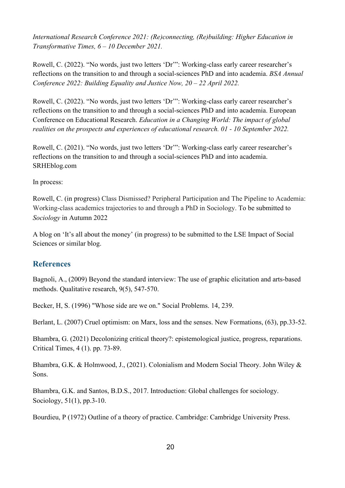*International Research Conference 2021: (Re)connecting, (Re)building: Higher Education in Transformative Times, 6 – 10 December 2021.* 

Rowell, C. (2022). "No words, just two letters 'Dr'": Working-class early career researcher's reflections on the transition to and through a social-sciences PhD and into academia. *BSA Annual Conference 2022: Building Equality and Justice Now, 20 – 22 April 2022.* 

Rowell, C. (2022). "No words, just two letters 'Dr'": Working-class early career researcher's reflections on the transition to and through a social-sciences PhD and into academia. European Conference on Educational Research. *Education in a Changing World: The impact of global realities on the prospects and experiences of educational research. 01 - 10 September 2022.* 

Rowell, C. (2021). "No words, just two letters 'Dr'": Working-class early career researcher's reflections on the transition to and through a social-sciences PhD and into academia. SRHEblog.com

## In process:

Rowell, C. (in progress) Class Dismissed? Peripheral Participation and The Pipeline to Academia: Working-class academics trajectories to and through a PhD in Sociology. To be submitted to *Sociology* in Autumn 2022

A blog on 'It's all about the money' (in progress) to be submitted to the LSE Impact of Social Sciences or similar blog.

# <span id="page-19-0"></span>**References**

Bagnoli, A., (2009) Beyond the standard interview: The use of graphic elicitation and arts-based methods. Qualitative research, 9(5), 547-570.

Becker, H, S. (1996) "Whose side are we on." Social Problems. 14, 239.

Berlant, L. (2007) Cruel optimism: on Marx, loss and the senses. New Formations, (63), pp.33-52.

Bhambra, G. (2021) Decolonizing critical theory?: epistemological justice, progress, reparations. Critical Times, 4 (1). pp. 73-89.

Bhambra, G.K. & Holmwood, J., (2021). Colonialism and Modern Social Theory. John Wiley & Sons.

Bhambra, G.K. and Santos, B.D.S., 2017. Introduction: Global challenges for sociology. Sociology, 51(1), pp.3-10.

Bourdieu, P (1972) Outline of a theory of practice. Cambridge: Cambridge University Press.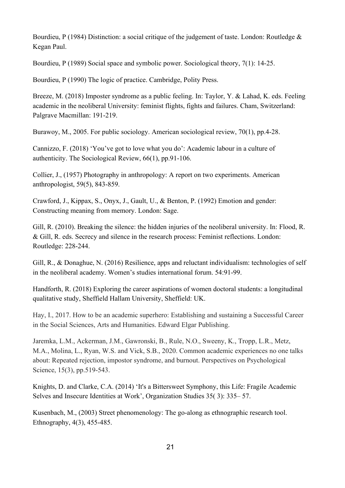Bourdieu, P (1984) Distinction: a social critique of the judgement of taste. London: Routledge & Kegan Paul.

Bourdieu, P (1989) Social space and symbolic power. Sociological theory, 7(1): 14-25.

Bourdieu, P (1990) The logic of practice. Cambridge, Polity Press.

Breeze, M. (2018) Imposter syndrome as a public feeling. In: Taylor, Y. & Lahad, K. eds. Feeling academic in the neoliberal University: feminist flights, fights and failures. Cham, Switzerland: Palgrave Macmillan: 191-219.

Burawoy, M., 2005. For public sociology. American sociological review, 70(1), pp.4-28.

Cannizzo, F. (2018) 'You've got to love what you do': Academic labour in a culture of authenticity. The Sociological Review, 66(1), pp.91-106.

Collier, J., (1957) Photography in anthropology: A report on two experiments. American anthropologist, 59(5), 843-859.

Crawford, J., Kippax, S., Onyx, J., Gault, U., & Benton, P. (1992) Emotion and gender: Constructing meaning from memory. London: Sage.

Gill, R. (2010). Breaking the silence: the hidden injuries of the neoliberal university. In: Flood, R. & Gill, R. eds. Secrecy and silence in the research process: Feminist reflections. London: Routledge: 228-244.

Gill, R., & Donaghue, N. (2016) Resilience, apps and reluctant individualism: technologies of self in the neoliberal academy. Women's studies international forum. 54:91-99.

Handforth, R. (2018) Exploring the career aspirations of women doctoral students: a longitudinal qualitative study, Sheffield Hallam University, Sheffield: UK.

Hay, I., 2017. How to be an academic superhero: Establishing and sustaining a Successful Career in the Social Sciences, Arts and Humanities. Edward Elgar Publishing.

Jaremka, L.M., Ackerman, J.M., Gawronski, B., Rule, N.O., Sweeny, K., Tropp, L.R., Metz, M.A., Molina, L., Ryan, W.S. and Vick, S.B., 2020. Common academic experiences no one talks about: Repeated rejection, impostor syndrome, and burnout. Perspectives on Psychological Science, 15(3), pp.519-543.

Knights, D. and Clarke, C.A. (2014) 'It's a Bittersweet Symphony, this Life: Fragile Academic Selves and Insecure Identities at Work', Organization Studies 35( 3): 335– 57.

Kusenbach, M., (2003) Street phenomenology: The go-along as ethnographic research tool. Ethnography, 4(3), 455-485.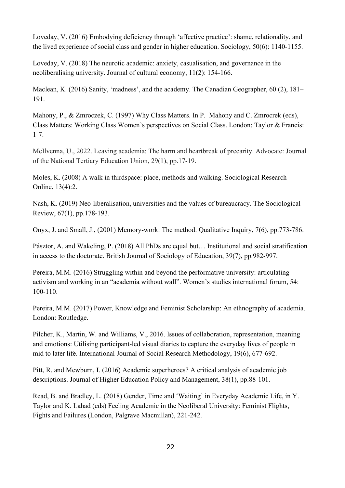Loveday, V. (2016) Embodying deficiency through 'affective practice': shame, relationality, and the lived experience of social class and gender in higher education. Sociology, 50(6): 1140-1155.

Loveday, V. (2018) The neurotic academic: anxiety, casualisation, and governance in the neoliberalising university. Journal of cultural economy, 11(2): 154-166.

Maclean, K. (2016) Sanity, 'madness', and the academy. The Canadian Geographer, 60 (2), 181– 191.

Mahony, P., & Zmroczek, C. (1997) Why Class Matters. In P. Mahony and C. Zmrocrek (eds), Class Matters: Working Class Women's perspectives on Social Class. London: Taylor & Francis: 1-7.

McIlvenna, U., 2022. Leaving academia: The harm and heartbreak of precarity. Advocate: Journal of the National Tertiary Education Union, 29(1), pp.17-19.

Moles, K. (2008) A walk in thirdspace: place, methods and walking. Sociological Research Online, 13(4):2.

Nash, K. (2019) Neo-liberalisation, universities and the values of bureaucracy. The Sociological Review, 67(1), pp.178-193.

Onyx, J. and Small, J., (2001) Memory-work: The method. Qualitative Inquiry, 7(6), pp.773-786.

Pásztor, A. and Wakeling, P. (2018) All PhDs are equal but… Institutional and social stratification in access to the doctorate. British Journal of Sociology of Education, 39(7), pp.982-997.

Pereira, M.M. (2016) Struggling within and beyond the performative university: articulating activism and working in an "academia without wall". Women's studies international forum, 54: 100-110.

Pereira, M.M. (2017) Power, Knowledge and Feminist Scholarship: An ethnography of academia. London: Routledge.

Pilcher, K., Martin, W. and Williams, V., 2016. Issues of collaboration, representation, meaning and emotions: Utilising participant-led visual diaries to capture the everyday lives of people in mid to later life. International Journal of Social Research Methodology, 19(6), 677-692.

Pitt, R. and Mewburn, I. (2016) Academic superheroes? A critical analysis of academic job descriptions. Journal of Higher Education Policy and Management, 38(1), pp.88-101.

Read, B. and Bradley, L. (2018) Gender, Time and 'Waiting' in Everyday Academic Life, in Y. Taylor and K. Lahad (eds) Feeling Academic in the Neoliberal University: Feminist Flights, Fights and Failures (London, Palgrave Macmillan), 221-242.